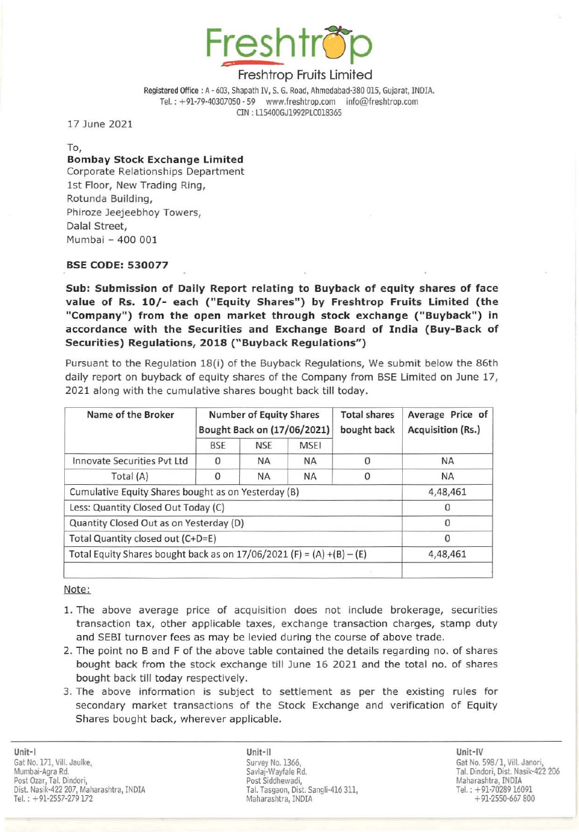

# Freshtrop Fruits Limited

Registered Office: A· 603, Shapath IV, S. G. Road, Ahmedabad-3aO 015, Gujarat, INDIA. Tel.: +91-79-40307050 - 59 www.freshtrop.com info@freshtrop.com CIN : U5400GJl992PLCOl8365

17 June 2021

To,

### Bombay Stock Exchange Limited Corporate Relationships Department

1st Floor, New Trading Ring, Rotunda Building, Phiroze Jeejeebhoy Towers, Dalal Street, Mumbai - 400 001

### BSE CODE: 530077

Sub: Submission of Daily Report relating to Buyback of equity shares of face value of Rs. *10/-* each ("Equity Shares") by Freshtrop Fruits limited (the "Company") from the open market through stock exchange ("Buyback") in accordance with the Securities and Exchange Board of India (Buy-Back of Securities) Regulations, 2018 ("Buyback Regulations" )

Pursuant to the Regulation 18(i) of the Buyback Regulations, We submit below the 86th daily report on buyback of equity shares of the Company from BSE Limited on June 17, 2021 along with the cumulative shares bought back till today.

| Name of the Broker                                                      | <b>Number of Equity Shares</b><br>Bought Back on (17/06/2021) |            |             | <b>Total shares</b><br>bought back | Average Price of<br><b>Acquisition (Rs.)</b> |
|-------------------------------------------------------------------------|---------------------------------------------------------------|------------|-------------|------------------------------------|----------------------------------------------|
|                                                                         | <b>BSE</b>                                                    | <b>NSE</b> | <b>MSEI</b> |                                    |                                              |
| Innovate Securities Pyt Ltd                                             | 0                                                             | <b>NA</b>  | <b>NA</b>   |                                    | <b>NA</b>                                    |
| Total (A)                                                               |                                                               | <b>NA</b>  | <b>NA</b>   |                                    | <b>NA</b>                                    |
| Cumulative Equity Shares bought as on Yesterday (B)                     |                                                               |            |             |                                    | 4,48,461                                     |
| Less: Quantity Closed Out Today (C)                                     |                                                               |            |             |                                    |                                              |
| Quantity Closed Out as on Yesterday (D)                                 |                                                               |            |             |                                    | 0                                            |
| Total Quantity closed out (C+D=E)                                       |                                                               |            |             |                                    | $\Omega$                                     |
| Total Equity Shares bought back as on $17/06/2021$ (F) = (A) +(B) – (E) |                                                               |            |             |                                    | 4,48,461                                     |
|                                                                         |                                                               |            |             |                                    |                                              |

Note:

- 1. The above average price of acquisition does not include brokerage, securities transaction tax, other applicable taxes, exchange transaction charges, stamp duty and SEBI turnover fees as may be levied during the course of above trade.
- 2. The point no Band F of the above table contained the details regarding no. of shares bought back from the stock exchange till June 16 2021 and the total no. of shares bought back till today respectively.
- 3. The above information is subject to settlement as per the existing rules for secondary market transactions of the Stock Exchange and verification of Equity Shares bought back, wherever applicable.

Unit-II Unit-IV Survey No. 1366, Savlaj·Wayfale Rd. Post Siddhewadi, Tal. Tasgaon, Dist. Sangli-416 311. Maharashtra, INOLA